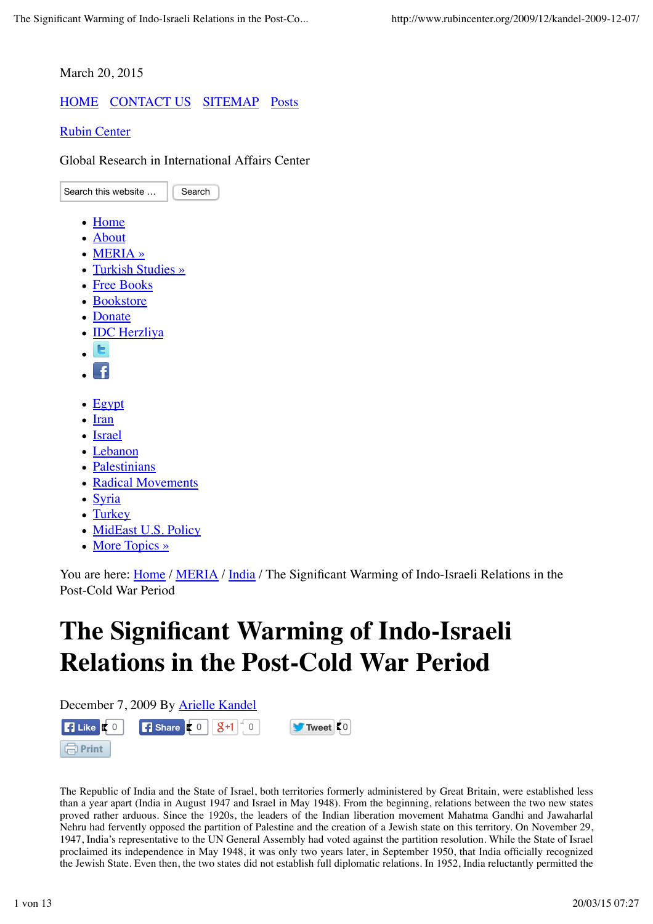March 20, 2015

## HOME CONTACT US SITEMAP Posts

Rubin Center

Global Research in International Affairs Center

Search this website ... **Search** • Home About MERIA » • Turkish Studies » Free Books • Bookstore • Donate • **IDC** Herzliva Ŧ  $\bullet$  Egypt • Iran • Israel Lebanon • Palestinians • Radical Movements • Syria • Turkey • MidEast U.S. Policy • More Topics »

You are here: *Home* / *MERIA* / *India* / The Significant Warming of Indo-Israeli Relations in the Post-Cold War Period

# **The Significant Warming of Indo-Israeli Relations in the Post-Cold War Period**

December 7, 2009 By Arielle Kandel





The Republic of India and the State of Israel, both territories formerly administered by Great Britain, were established less than a year apart (India in August 1947 and Israel in May 1948). From the beginning, relations between the two new states proved rather arduous. Since the 1920s, the leaders of the Indian liberation movement Mahatma Gandhi and Jawaharlal Nehru had fervently opposed the partition of Palestine and the creation of a Jewish state on this territory. On November 29, 1947, India's representative to the UN General Assembly had voted against the partition resolution. While the State of Israel proclaimed its independence in May 1948, it was only two years later, in September 1950, that India officially recognized the Jewish State. Even then, the two states did not establish full diplomatic relations. In 1952, India reluctantly permitted the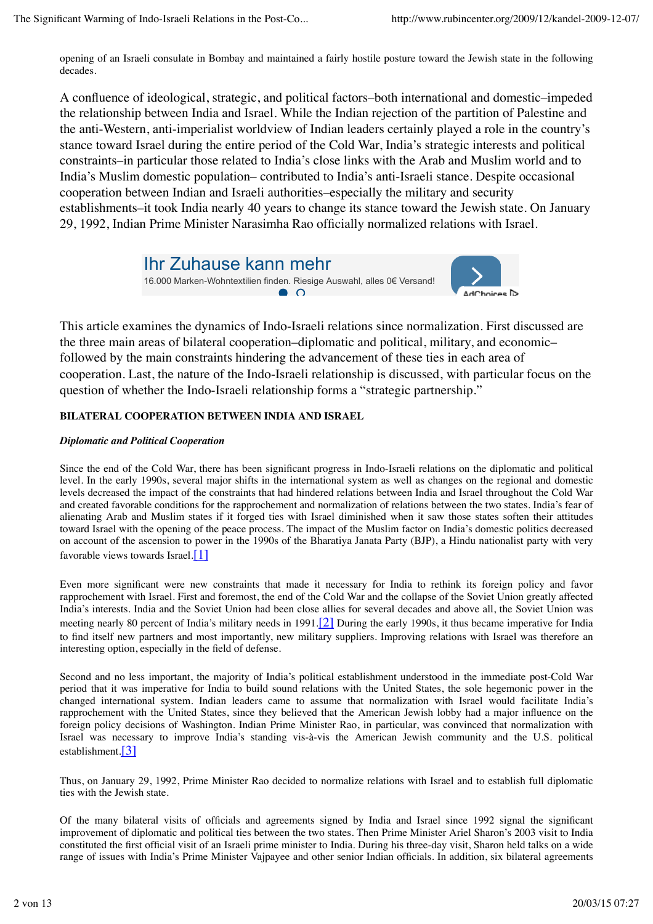opening of an Israeli consulate in Bombay and maintained a fairly hostile posture toward the Jewish state in the following decades.

A confluence of ideological, strategic, and political factors–both international and domestic–impeded the relationship between India and Israel. While the Indian rejection of the partition of Palestine and the anti-Western, anti-imperialist worldview of Indian leaders certainly played a role in the country's stance toward Israel during the entire period of the Cold War, India's strategic interests and political constraints–in particular those related to India's close links with the Arab and Muslim world and to India's Muslim domestic population– contributed to India's anti-Israeli stance. Despite occasional cooperation between Indian and Israeli authorities–especially the military and security establishments–it took India nearly 40 years to change its stance toward the Jewish state. On January 29, 1992, Indian Prime Minister Narasimha Rao officially normalized relations with Israel.



This article examines the dynamics of Indo-Israeli relations since normalization. First discussed are the three main areas of bilateral cooperation–diplomatic and political, military, and economic– followed by the main constraints hindering the advancement of these ties in each area of cooperation. Last, the nature of the Indo-Israeli relationship is discussed, with particular focus on the question of whether the Indo-Israeli relationship forms a "strategic partnership."

### **BILATERAL COOPERATION BETWEEN INDIA AND ISRAEL**

### *Diplomatic and Political Cooperation*

Since the end of the Cold War, there has been significant progress in Indo-Israeli relations on the diplomatic and political level. In the early 1990s, several major shifts in the international system as well as changes on the regional and domestic levels decreased the impact of the constraints that had hindered relations between India and Israel throughout the Cold War and created favorable conditions for the rapprochement and normalization of relations between the two states. India's fear of alienating Arab and Muslim states if it forged ties with Israel diminished when it saw those states soften their attitudes toward Israel with the opening of the peace process. The impact of the Muslim factor on India's domestic politics decreased on account of the ascension to power in the 1990s of the Bharatiya Janata Party (BJP), a Hindu nationalist party with very favorable views towards Israel. $[1]$ 

Even more significant were new constraints that made it necessary for India to rethink its foreign policy and favor rapprochement with Israel. First and foremost, the end of the Cold War and the collapse of the Soviet Union greatly affected India's interests. India and the Soviet Union had been close allies for several decades and above all, the Soviet Union was meeting nearly 80 percent of India's military needs in 1991.[2] During the early 1990s, it thus became imperative for India to find itself new partners and most importantly, new military suppliers. Improving relations with Israel was therefore an interesting option, especially in the field of defense.

Second and no less important, the majority of India's political establishment understood in the immediate post-Cold War period that it was imperative for India to build sound relations with the United States, the sole hegemonic power in the changed international system. Indian leaders came to assume that normalization with Israel would facilitate India's rapprochement with the United States, since they believed that the American Jewish lobby had a major influence on the foreign policy decisions of Washington. Indian Prime Minister Rao, in particular, was convinced that normalization with Israel was necessary to improve India's standing vis-à-vis the American Jewish community and the U.S. political establishment.[3]

Thus, on January 29, 1992, Prime Minister Rao decided to normalize relations with Israel and to establish full diplomatic ties with the Jewish state.

Of the many bilateral visits of officials and agreements signed by India and Israel since 1992 signal the significant improvement of diplomatic and political ties between the two states. Then Prime Minister Ariel Sharon's 2003 visit to India constituted the first official visit of an Israeli prime minister to India. During his three-day visit, Sharon held talks on a wide range of issues with India's Prime Minister Vajpayee and other senior Indian officials. In addition, six bilateral agreements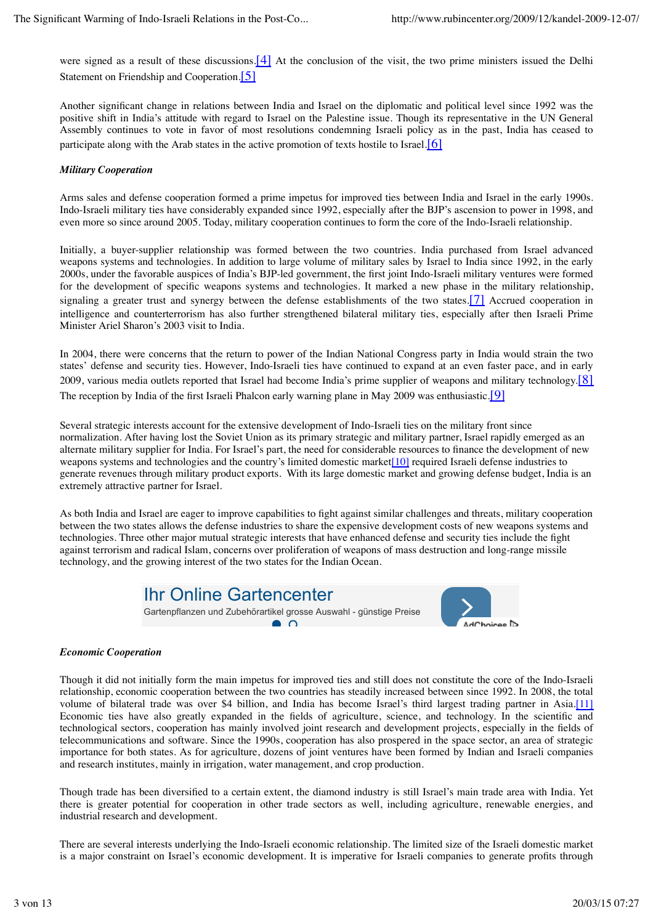were signed as a result of these discussions.[4] At the conclusion of the visit, the two prime ministers issued the Delhi Statement on Friendship and Cooperation.<sup>[5]</sup>

Another significant change in relations between India and Israel on the diplomatic and political level since 1992 was the positive shift in India's attitude with regard to Israel on the Palestine issue. Though its representative in the UN General Assembly continues to vote in favor of most resolutions condemning Israeli policy as in the past, India has ceased to participate along with the Arab states in the active promotion of texts hostile to Israel. $[6]$ 

### *Military Cooperation*

Arms sales and defense cooperation formed a prime impetus for improved ties between India and Israel in the early 1990s. Indo-Israeli military ties have considerably expanded since 1992, especially after the BJP's ascension to power in 1998, and even more so since around 2005. Today, military cooperation continues to form the core of the Indo-Israeli relationship.

Initially, a buyer-supplier relationship was formed between the two countries. India purchased from Israel advanced weapons systems and technologies. In addition to large volume of military sales by Israel to India since 1992, in the early 2000s, under the favorable auspices of India's BJP-led government, the first joint Indo-Israeli military ventures were formed for the development of specific weapons systems and technologies. It marked a new phase in the military relationship, signaling a greater trust and synergy between the defense establishments of the two states.<sup>[7]</sup> Accrued cooperation in intelligence and counterterrorism has also further strengthened bilateral military ties, especially after then Israeli Prime Minister Ariel Sharon's 2003 visit to India.

In 2004, there were concerns that the return to power of the Indian National Congress party in India would strain the two states' defense and security ties. However, Indo-Israeli ties have continued to expand at an even faster pace, and in early 2009, various media outlets reported that Israel had become India's prime supplier of weapons and military technology. $[8]$ The reception by India of the first Israeli Phalcon early warning plane in May 2009 was enthusiastic.<sup>[9]</sup>

Several strategic interests account for the extensive development of Indo-Israeli ties on the military front since normalization. After having lost the Soviet Union as its primary strategic and military partner, Israel rapidly emerged as an alternate military supplier for India. For Israel's part, the need for considerable resources to finance the development of new weapons systems and technologies and the country's limited domestic market<sup>[10]</sup> required Israeli defense industries to generate revenues through military product exports. With its large domestic market and growing defense budget, India is an extremely attractive partner for Israel.

As both India and Israel are eager to improve capabilities to fight against similar challenges and threats, military cooperation between the two states allows the defense industries to share the expensive development costs of new weapons systems and technologies. Three other major mutual strategic interests that have enhanced defense and security ties include the fight against terrorism and radical Islam, concerns over proliferation of weapons of mass destruction and long-range missile technology, and the growing interest of the two states for the Indian Ocean.



### *Economic Cooperation*

Though it did not initially form the main impetus for improved ties and still does not constitute the core of the Indo-Israeli relationship, economic cooperation between the two countries has steadily increased between since 1992. In 2008, the total volume of bilateral trade was over \$4 billion, and India has become Israel's third largest trading partner in Asia.[11] Economic ties have also greatly expanded in the fields of agriculture, science, and technology. In the scientific and technological sectors, cooperation has mainly involved joint research and development projects, especially in the fields of telecommunications and software. Since the 1990s, cooperation has also prospered in the space sector, an area of strategic importance for both states. As for agriculture, dozens of joint ventures have been formed by Indian and Israeli companies and research institutes, mainly in irrigation, water management, and crop production.

Though trade has been diversified to a certain extent, the diamond industry is still Israel's main trade area with India. Yet there is greater potential for cooperation in other trade sectors as well, including agriculture, renewable energies, and industrial research and development.

There are several interests underlying the Indo-Israeli economic relationship. The limited size of the Israeli domestic market is a major constraint on Israel's economic development. It is imperative for Israeli companies to generate profits through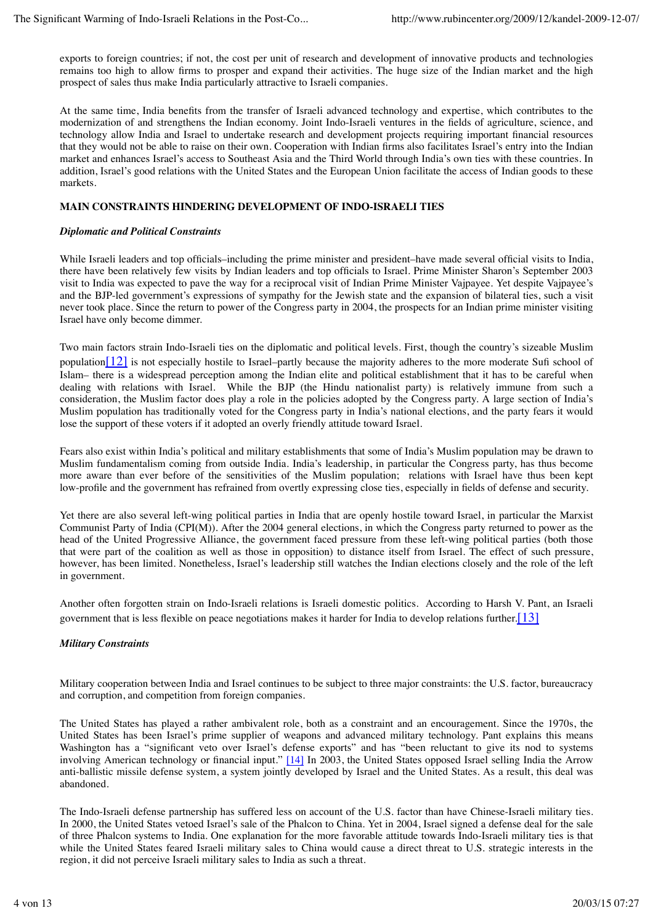exports to foreign countries; if not, the cost per unit of research and development of innovative products and technologies remains too high to allow firms to prosper and expand their activities. The huge size of the Indian market and the high prospect of sales thus make India particularly attractive to Israeli companies.

At the same time, India benefits from the transfer of Israeli advanced technology and expertise, which contributes to the modernization of and strengthens the Indian economy. Joint Indo-Israeli ventures in the fields of agriculture, science, and technology allow India and Israel to undertake research and development projects requiring important financial resources that they would not be able to raise on their own. Cooperation with Indian firms also facilitates Israel's entry into the Indian market and enhances Israel's access to Southeast Asia and the Third World through India's own ties with these countries. In addition, Israel's good relations with the United States and the European Union facilitate the access of Indian goods to these markets.

#### **MAIN CONSTRAINTS HINDERING DEVELOPMENT OF INDO-ISRAELI TIES**

#### *Diplomatic and Political Constraints*

While Israeli leaders and top officials–including the prime minister and president–have made several official visits to India, there have been relatively few visits by Indian leaders and top officials to Israel. Prime Minister Sharon's September 2003 visit to India was expected to pave the way for a reciprocal visit of Indian Prime Minister Vajpayee. Yet despite Vajpayee's and the BJP-led government's expressions of sympathy for the Jewish state and the expansion of bilateral ties, such a visit never took place. Since the return to power of the Congress party in 2004, the prospects for an Indian prime minister visiting Israel have only become dimmer.

Two main factors strain Indo-Israeli ties on the diplomatic and political levels. First, though the country's sizeable Muslim population $\left[12\right]$  is not especially hostile to Israel–partly because the majority adheres to the more moderate Sufi school of Islam– there is a widespread perception among the Indian elite and political establishment that it has to be careful when dealing with relations with Israel. While the BJP (the Hindu nationalist party) is relatively immune from such a consideration, the Muslim factor does play a role in the policies adopted by the Congress party. A large section of India's Muslim population has traditionally voted for the Congress party in India's national elections, and the party fears it would lose the support of these voters if it adopted an overly friendly attitude toward Israel.

Fears also exist within India's political and military establishments that some of India's Muslim population may be drawn to Muslim fundamentalism coming from outside India. India's leadership, in particular the Congress party, has thus become more aware than ever before of the sensitivities of the Muslim population; relations with Israel have thus been kept low-profile and the government has refrained from overtly expressing close ties, especially in fields of defense and security.

Yet there are also several left-wing political parties in India that are openly hostile toward Israel, in particular the Marxist Communist Party of India (CPI(M)). After the 2004 general elections, in which the Congress party returned to power as the head of the United Progressive Alliance, the government faced pressure from these left-wing political parties (both those that were part of the coalition as well as those in opposition) to distance itself from Israel. The effect of such pressure, however, has been limited. Nonetheless, Israel's leadership still watches the Indian elections closely and the role of the left in government.

Another often forgotten strain on Indo-Israeli relations is Israeli domestic politics. According to Harsh V. Pant, an Israeli government that is less flexible on peace negotiations makes it harder for India to develop relations further.[13]

### *Military Constraints*

Military cooperation between India and Israel continues to be subject to three major constraints: the U.S. factor, bureaucracy and corruption, and competition from foreign companies.

The United States has played a rather ambivalent role, both as a constraint and an encouragement. Since the 1970s, the United States has been Israel's prime supplier of weapons and advanced military technology. Pant explains this means Washington has a "significant veto over Israel's defense exports" and has "been reluctant to give its nod to systems involving American technology or financial input." [14] In 2003, the United States opposed Israel selling India the Arrow anti-ballistic missile defense system, a system jointly developed by Israel and the United States. As a result, this deal was abandoned.

The Indo-Israeli defense partnership has suffered less on account of the U.S. factor than have Chinese-Israeli military ties. In 2000, the United States vetoed Israel's sale of the Phalcon to China. Yet in 2004, Israel signed a defense deal for the sale of three Phalcon systems to India. One explanation for the more favorable attitude towards Indo-Israeli military ties is that while the United States feared Israeli military sales to China would cause a direct threat to U.S. strategic interests in the region, it did not perceive Israeli military sales to India as such a threat.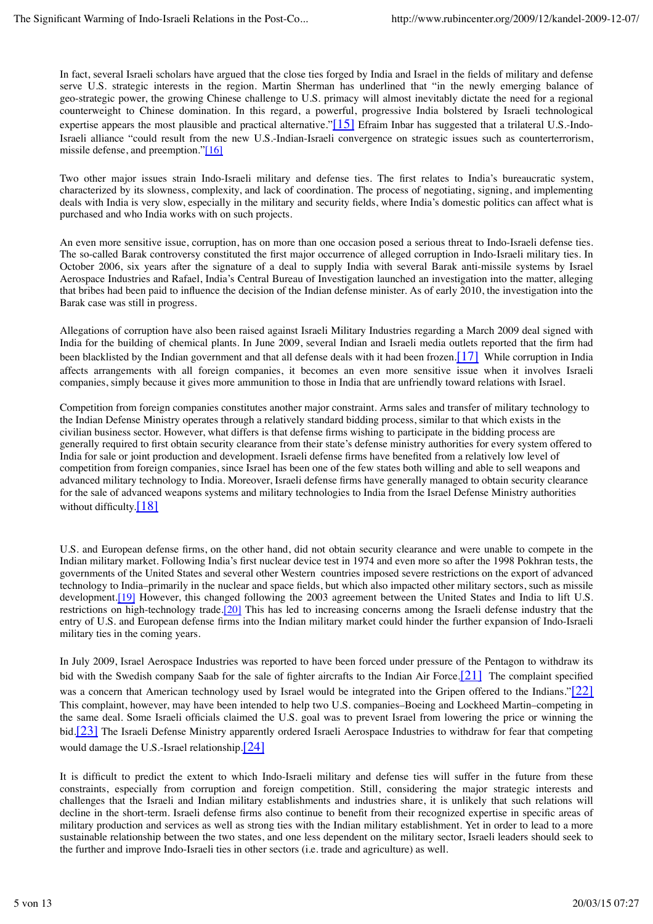In fact, several Israeli scholars have argued that the close ties forged by India and Israel in the fields of military and defense serve U.S. strategic interests in the region. Martin Sherman has underlined that "in the newly emerging balance of geo-strategic power, the growing Chinese challenge to U.S. primacy will almost inevitably dictate the need for a regional counterweight to Chinese domination. In this regard, a powerful, progressive India bolstered by Israeli technological expertise appears the most plausible and practical alternative." $[15]$  Efraim Inbar has suggested that a trilateral U.S.-Indo-Israeli alliance "could result from the new U.S.-Indian-Israeli convergence on strategic issues such as counterterrorism, missile defense, and preemption."[16]

Two other major issues strain Indo-Israeli military and defense ties. The first relates to India's bureaucratic system, characterized by its slowness, complexity, and lack of coordination. The process of negotiating, signing, and implementing deals with India is very slow, especially in the military and security fields, where India's domestic politics can affect what is purchased and who India works with on such projects.

An even more sensitive issue, corruption, has on more than one occasion posed a serious threat to Indo-Israeli defense ties. The so-called Barak controversy constituted the first major occurrence of alleged corruption in Indo-Israeli military ties. In October 2006, six years after the signature of a deal to supply India with several Barak anti-missile systems by Israel Aerospace Industries and Rafael, India's Central Bureau of Investigation launched an investigation into the matter, alleging that bribes had been paid to influence the decision of the Indian defense minister. As of early 2010, the investigation into the Barak case was still in progress.

Allegations of corruption have also been raised against Israeli Military Industries regarding a March 2009 deal signed with India for the building of chemical plants. In June 2009, several Indian and Israeli media outlets reported that the firm had been blacklisted by the Indian government and that all defense deals with it had been frozen.[17] While corruption in India affects arrangements with all foreign companies, it becomes an even more sensitive issue when it involves Israeli companies, simply because it gives more ammunition to those in India that are unfriendly toward relations with Israel.

Competition from foreign companies constitutes another major constraint. Arms sales and transfer of military technology to the Indian Defense Ministry operates through a relatively standard bidding process, similar to that which exists in the civilian business sector. However, what differs is that defense firms wishing to participate in the bidding process are generally required to first obtain security clearance from their state's defense ministry authorities for every system offered to India for sale or joint production and development. Israeli defense firms have benefited from a relatively low level of competition from foreign companies, since Israel has been one of the few states both willing and able to sell weapons and advanced military technology to India. Moreover, Israeli defense firms have generally managed to obtain security clearance for the sale of advanced weapons systems and military technologies to India from the Israel Defense Ministry authorities without difficulty. $[18]$ 

U.S. and European defense firms, on the other hand, did not obtain security clearance and were unable to compete in the Indian military market. Following India's first nuclear device test in 1974 and even more so after the 1998 Pokhran tests, the governments of the United States and several other Western countries imposed severe restrictions on the export of advanced technology to India–primarily in the nuclear and space fields, but which also impacted other military sectors, such as missile development.<sup>[19]</sup> However, this changed following the 2003 agreement between the United States and India to lift U.S. restrictions on high-technology trade.[20] This has led to increasing concerns among the Israeli defense industry that the entry of U.S. and European defense firms into the Indian military market could hinder the further expansion of Indo-Israeli military ties in the coming years.

In July 2009, Israel Aerospace Industries was reported to have been forced under pressure of the Pentagon to withdraw its bid with the Swedish company Saab for the sale of fighter aircrafts to the Indian Air Force.<sup>[21]</sup> The complaint specified was a concern that American technology used by Israel would be integrated into the Gripen offered to the Indians."[22] This complaint, however, may have been intended to help two U.S. companies–Boeing and Lockheed Martin–competing in the same deal. Some Israeli officials claimed the U.S. goal was to prevent Israel from lowering the price or winning the bid.<sup>[23]</sup> The Israeli Defense Ministry apparently ordered Israeli Aerospace Industries to withdraw for fear that competing would damage the U.S.-Israel relationship.[24]

It is difficult to predict the extent to which Indo-Israeli military and defense ties will suffer in the future from these constraints, especially from corruption and foreign competition. Still, considering the major strategic interests and challenges that the Israeli and Indian military establishments and industries share, it is unlikely that such relations will decline in the short-term. Israeli defense firms also continue to benefit from their recognized expertise in specific areas of military production and services as well as strong ties with the Indian military establishment. Yet in order to lead to a more sustainable relationship between the two states, and one less dependent on the military sector, Israeli leaders should seek to the further and improve Indo-Israeli ties in other sectors (i.e. trade and agriculture) as well.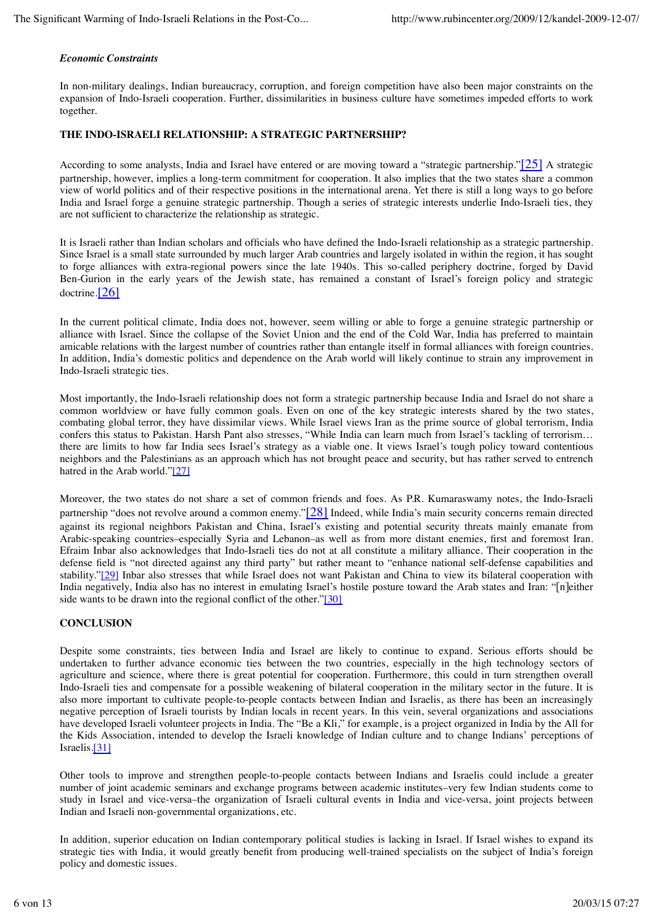#### *Economic Constraints*

In non-military dealings, Indian bureaucracy, corruption, and foreign competition have also been major constraints on the expansion of Indo-Israeli cooperation. Further, dissimilarities in business culture have sometimes impeded efforts to work together.

#### **THE INDO-ISRAELI RELATIONSHIP: A STRATEGIC PARTNERSHIP?**

According to some analysts, India and Israel have entered or are moving toward a "strategic partnership."[25] A strategic partnership, however, implies a long-term commitment for cooperation. It also implies that the two states share a common view of world politics and of their respective positions in the international arena. Yet there is still a long ways to go before India and Israel forge a genuine strategic partnership. Though a series of strategic interests underlie Indo-Israeli ties, they are not sufficient to characterize the relationship as strategic.

It is Israeli rather than Indian scholars and officials who have defined the Indo-Israeli relationship as a strategic partnership. Since Israel is a small state surrounded by much larger Arab countries and largely isolated in within the region, it has sought to forge alliances with extra-regional powers since the late 1940s. This so-called periphery doctrine, forged by David Ben-Gurion in the early years of the Jewish state, has remained a constant of Israel's foreign policy and strategic doctrine.[26]

In the current political climate, India does not, however, seem willing or able to forge a genuine strategic partnership or alliance with Israel. Since the collapse of the Soviet Union and the end of the Cold War, India has preferred to maintain amicable relations with the largest number of countries rather than entangle itself in formal alliances with foreign countries. In addition, India's domestic politics and dependence on the Arab world will likely continue to strain any improvement in Indo-Israeli strategic ties.

Most importantly, the Indo-Israeli relationship does not form a strategic partnership because India and Israel do not share a common worldview or have fully common goals. Even on one of the key strategic interests shared by the two states, combating global terror, they have dissimilar views. While Israel views Iran as the prime source of global terrorism, India confers this status to Pakistan. Harsh Pant also stresses, "While India can learn much from Israel's tackling of terrorism… there are limits to how far India sees Israel's strategy as a viable one. It views Israel's tough policy toward contentious neighbors and the Palestinians as an approach which has not brought peace and security, but has rather served to entrench hatred in the Arab world."[27]

Moreover, the two states do not share a set of common friends and foes. As P.R. Kumaraswamy notes, the Indo-Israeli partnership "does not revolve around a common enemy."[28] Indeed, while India's main security concerns remain directed against its regional neighbors Pakistan and China, Israel's existing and potential security threats mainly emanate from Arabic-speaking countries–especially Syria and Lebanon–as well as from more distant enemies, first and foremost Iran. Efraim Inbar also acknowledges that Indo-Israeli ties do not at all constitute a military alliance. Their cooperation in the defense field is "not directed against any third party" but rather meant to "enhance national self-defense capabilities and stability."[29] Inbar also stresses that while Israel does not want Pakistan and China to view its bilateral cooperation with India negatively, India also has no interest in emulating Israel's hostile posture toward the Arab states and Iran: "[n]either side wants to be drawn into the regional conflict of the other."[30]

#### **CONCLUSION**

Despite some constraints, ties between India and Israel are likely to continue to expand. Serious efforts should be undertaken to further advance economic ties between the two countries, especially in the high technology sectors of agriculture and science, where there is great potential for cooperation. Furthermore, this could in turn strengthen overall Indo-Israeli ties and compensate for a possible weakening of bilateral cooperation in the military sector in the future. It is also more important to cultivate people-to-people contacts between Indian and Israelis, as there has been an increasingly negative perception of Israeli tourists by Indian locals in recent years. In this vein, several organizations and associations have developed Israeli volunteer projects in India. The "Be a Kli," for example, is a project organized in India by the All for the Kids Association, intended to develop the Israeli knowledge of Indian culture and to change Indians' perceptions of Israelis.[31]

Other tools to improve and strengthen people-to-people contacts between Indians and Israelis could include a greater number of joint academic seminars and exchange programs between academic institutes–very few Indian students come to study in Israel and vice-versa–the organization of Israeli cultural events in India and vice-versa, joint projects between Indian and Israeli non-governmental organizations, etc.

In addition, superior education on Indian contemporary political studies is lacking in Israel. If Israel wishes to expand its strategic ties with India, it would greatly benefit from producing well-trained specialists on the subject of India's foreign policy and domestic issues.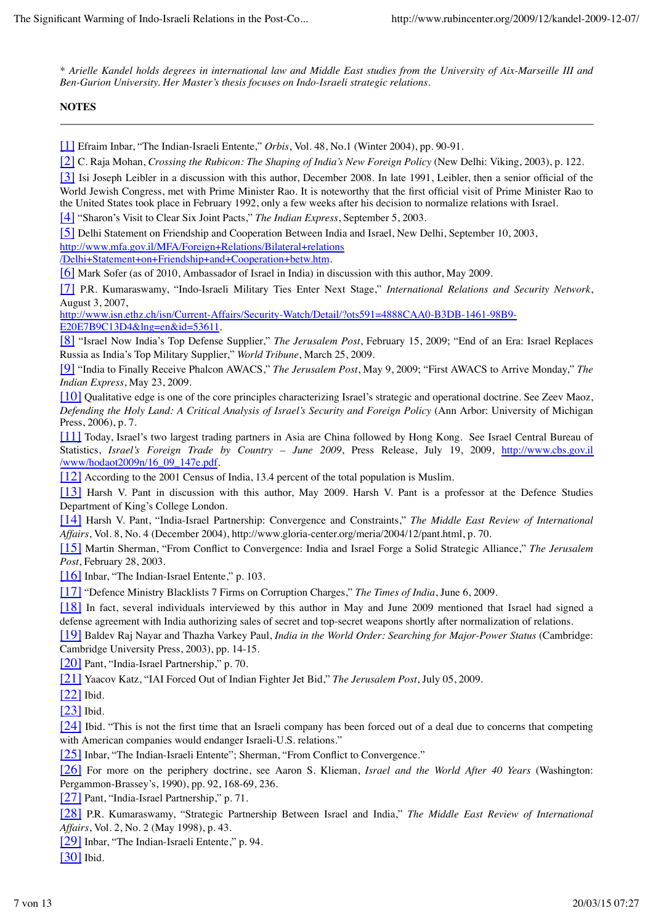*\* Arielle Kandel holds degrees in international law and Middle East studies from the University of Aix-Marseille III and Ben-Gurion University. Her Master's thesis focuses on Indo-Israeli strategic relations.*

### **NOTES**

[1] Efraim Inbar, "The Indian-Israeli Entente," *Orbis*, Vol. 48, No.1 (Winter 2004), pp. 90-91.

[2] C. Raja Mohan, *Crossing the Rubicon: The Shaping of India's New Foreign Policy* (New Delhi: Viking, 2003), p. 122.

[3] Isi Joseph Leibler in a discussion with this author, December 2008. In late 1991, Leibler, then a senior official of the World Jewish Congress, met with Prime Minister Rao. It is noteworthy that the first official visit of Prime Minister Rao to the United States took place in February 1992, only a few weeks after his decision to normalize relations with Israel.

[4] "Sharon's Visit to Clear Six Joint Pacts," *The Indian Express*, September 5, 2003.

[5] Delhi Statement on Friendship and Cooperation Between India and Israel, New Delhi, September 10, 2003,

http://www.mfa.gov.il/MFA/Foreign+Relations/Bilateral+relations

/Delhi+Statement+on+Friendship+and+Cooperation+betw.htm.

[6] Mark Sofer (as of 2010, Ambassador of Israel in India) in discussion with this author, May 2009.

[7] P.R. Kumaraswamy, "Indo-Israeli Military Ties Enter Next Stage," *International Relations and Security Network*, August 3, 2007,

http://www.isn.ethz.ch/isn/Current-Affairs/Security-Watch/Detail/?ots591=4888CAA0-B3DB-1461-98B9- E20E7B9C13D4&lng=en&id=53611.

[8] "Israel Now India's Top Defense Supplier," *The Jerusalem Post*, February 15, 2009; "End of an Era: Israel Replaces Russia as India's Top Military Supplier," *World Tribune*, March 25, 2009.

[9] "India to Finally Receive Phalcon AWACS," *The Jerusalem Post*, May 9, 2009; "First AWACS to Arrive Monday," *The Indian Express*, May 23, 2009.

[10] Qualitative edge is one of the core principles characterizing Israel's strategic and operational doctrine. See Zeev Maoz, *Defending the Holy Land: A Critical Analysis of Israel's Security and Foreign Policy* (Ann Arbor: University of Michigan Press, 2006), p. 7.

[11] Today, Israel's two largest trading partners in Asia are China followed by Hong Kong. See Israel Central Bureau of Statistics, *Israel's Foreign Trade by Country – June 2009*, Press Release, July 19, 2009, http://www.cbs.gov.il /www/hodaot2009n/16\_09\_147e.pdf.

[12] According to the 2001 Census of India, 13.4 percent of the total population is Muslim.

[13] Harsh V. Pant in discussion with this author, May 2009. Harsh V. Pant is a professor at the Defence Studies Department of King's College London.

[14] Harsh V. Pant, "India-Israel Partnership: Convergence and Constraints," *The Middle East Review of International Affairs*, Vol. 8, No. 4 (December 2004), http://www.gloria-center.org/meria/2004/12/pant.html, p. 70.

[15] Martin Sherman, "From Conflict to Convergence: India and Israel Forge a Solid Strategic Alliance," *The Jerusalem Post*, February 28, 2003.

[16] Inbar, "The Indian-Israel Entente," p. 103.

[17] "Defence Ministry Blacklists 7 Firms on Corruption Charges," *The Times of India*, June 6, 2009.

[18] In fact, several individuals interviewed by this author in May and June 2009 mentioned that Israel had signed a defense agreement with India authorizing sales of secret and top-secret weapons shortly after normalization of relations.

[19] Baldev Raj Nayar and Thazha Varkey Paul, *India in the World Order: Searching for Major-Power Status* (Cambridge: Cambridge University Press, 2003), pp. 14-15.

[20] Pant, "India-Israel Partnership," p. 70.

[21] Yaacov Katz, "IAI Forced Out of Indian Fighter Jet Bid," *The Jerusalem Post*, July 05, 2009.

[22] Ibid.

[23] Ibid.

[24] Ibid. "This is not the first time that an Israeli company has been forced out of a deal due to concerns that competing with American companies would endanger Israeli-U.S. relations."

[25] Inbar, "The Indian-Israeli Entente"; Sherman, "From Conflict to Convergence."

[26] For more on the periphery doctrine, see Aaron S. Klieman, *Israel and the World After 40 Years* (Washington: Pergammon-Brassey's, 1990), pp. 92, 168-69, 236.

[27] Pant, "India-Israel Partnership," p. 71.

[28] P.R. Kumaraswamy, "Strategic Partnership Between Israel and India," *The Middle East Review of International Affairs*, Vol. 2, No. 2 (May 1998), p. 43.

[29] Inbar, "The Indian-Israeli Entente," p. 94.

[30] Ibid.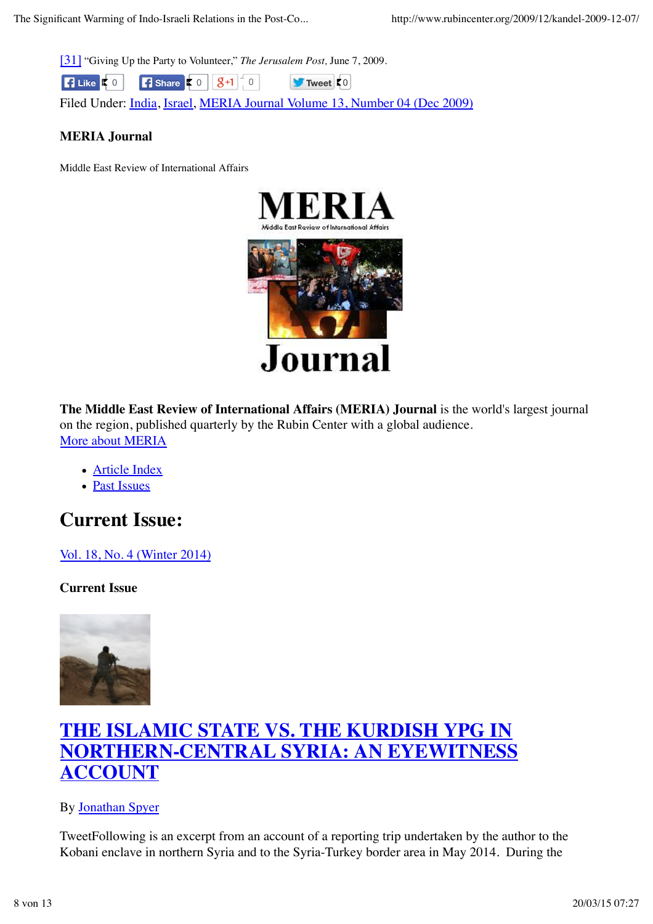[31] "Giving Up the Party to Volunteer," *The Jerusalem Post,* June 7, 2009.

**Tweet**  $0$ **Example 3 & Share**  $\begin{bmatrix} 5 & 0 \\ 0 & 0 \end{bmatrix}$  **S** +1  $\begin{bmatrix} 0 & 0 \\ 0 & 0 \end{bmatrix}$ 

Filed Under: India, Israel, MERIA Journal Volume 13, Number 04 (Dec 2009)

## **MERIA Journal**

Middle East Review of International Affairs



**The Middle East Review of International Affairs (MERIA) Journal** is the world's largest journal on the region, published quarterly by the Rubin Center with a global audience. More about MERIA

- Article Index
- Past Issues

## **Current Issue:**

Vol. 18, No. 4 (Winter 2014)

## **Current Issue**



## **THE ISLAMIC STATE VS. THE KURDISH YPG IN NORTHERN-CENTRAL SYRIA: AN EYEWITNESS ACCOUNT**

## By Jonathan Spyer

TweetFollowing is an excerpt from an account of a reporting trip undertaken by the author to the Kobani enclave in northern Syria and to the Syria-Turkey border area in May 2014. During the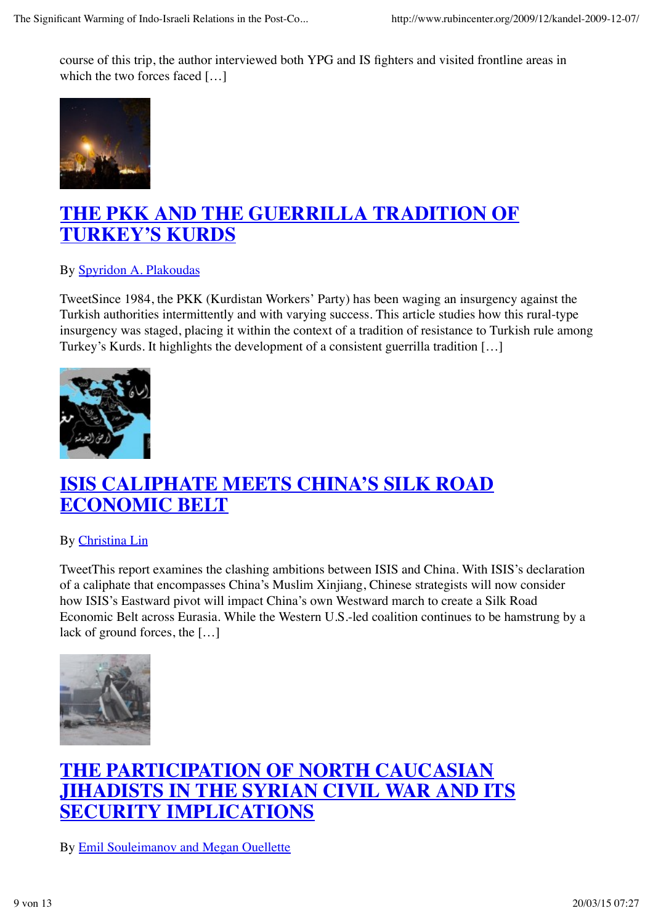course of this trip, the author interviewed both YPG and IS fighters and visited frontline areas in which the two forces faced […]



## **THE PKK AND THE GUERRILLA TRADITION OF TURKEY'S KURDS**

By Spyridon A. Plakoudas

TweetSince 1984, the PKK (Kurdistan Workers' Party) has been waging an insurgency against the Turkish authorities intermittently and with varying success. This article studies how this rural-type insurgency was staged, placing it within the context of a tradition of resistance to Turkish rule among Turkey's Kurds. It highlights the development of a consistent guerrilla tradition […]



## **ISIS CALIPHATE MEETS CHINA'S SILK ROAD ECONOMIC BELT**

By Christina Lin

TweetThis report examines the clashing ambitions between ISIS and China. With ISIS's declaration of a caliphate that encompasses China's Muslim Xinjiang, Chinese strategists will now consider how ISIS's Eastward pivot will impact China's own Westward march to create a Silk Road Economic Belt across Eurasia. While the Western U.S.-led coalition continues to be hamstrung by a lack of ground forces, the […]



## **THE PARTICIPATION OF NORTH CAUCASIAN JIHADISTS IN THE SYRIAN CIVIL WAR AND ITS SECURITY IMPLICATIONS**

By Emil Souleimanov and Megan Ouellette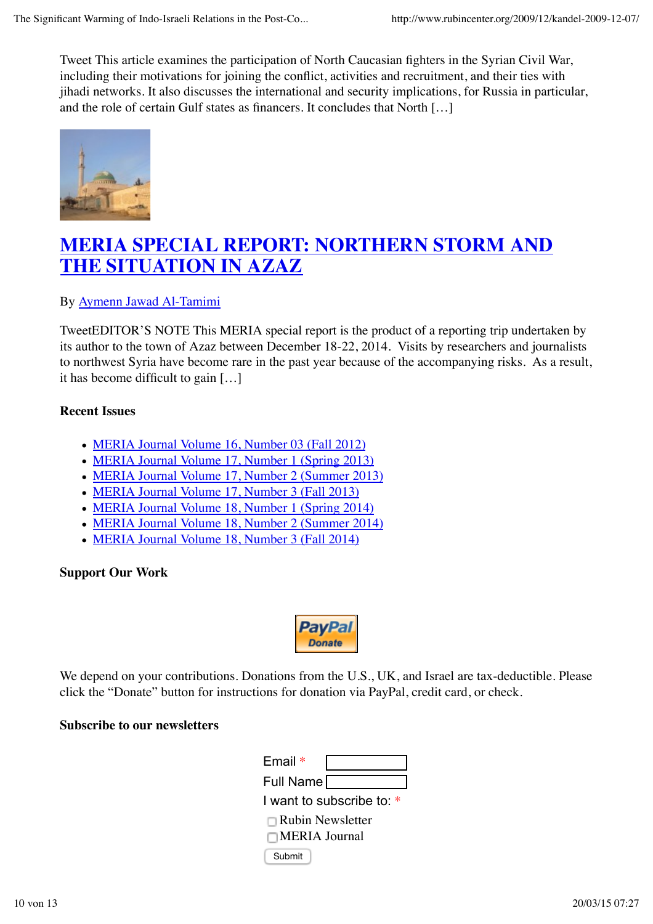Tweet This article examines the participation of North Caucasian fighters in the Syrian Civil War, including their motivations for joining the conflict, activities and recruitment, and their ties with jihadi networks. It also discusses the international and security implications, for Russia in particular, and the role of certain Gulf states as financers. It concludes that North […]



## **MERIA SPECIAL REPORT: NORTHERN STORM AND THE SITUATION IN AZAZ**

## By Aymenn Jawad Al-Tamimi

TweetEDITOR'S NOTE This MERIA special report is the product of a reporting trip undertaken by its author to the town of Azaz between December 18-22, 2014. Visits by researchers and journalists to northwest Syria have become rare in the past year because of the accompanying risks. As a result, it has become difficult to gain […]

### **Recent Issues**

- MERIA Journal Volume 16, Number 03 (Fall 2012)
- MERIA Journal Volume 17, Number 1 (Spring 2013)
- MERIA Journal Volume 17, Number 2 (Summer 2013)
- MERIA Journal Volume 17, Number 3 (Fall 2013)
- MERIA Journal Volume 18, Number 1 (Spring 2014)
- MERIA Journal Volume 18, Number 2 (Summer 2014)
- MERIA Journal Volume 18, Number 3 (Fall 2014)

## **Support Our Work**



We depend on your contributions. Donations from the U.S., UK, and Israel are tax-deductible. Please click the "Donate" button for instructions for donation via PayPal, credit card, or check.

## **Subscribe to our newsletters**

| Email $*$                |
|--------------------------|
| Full Name                |
| I want to subscribe to * |
| $\Box$ Rubin Newsletter  |
| □MERIA Journal           |
| Submit                   |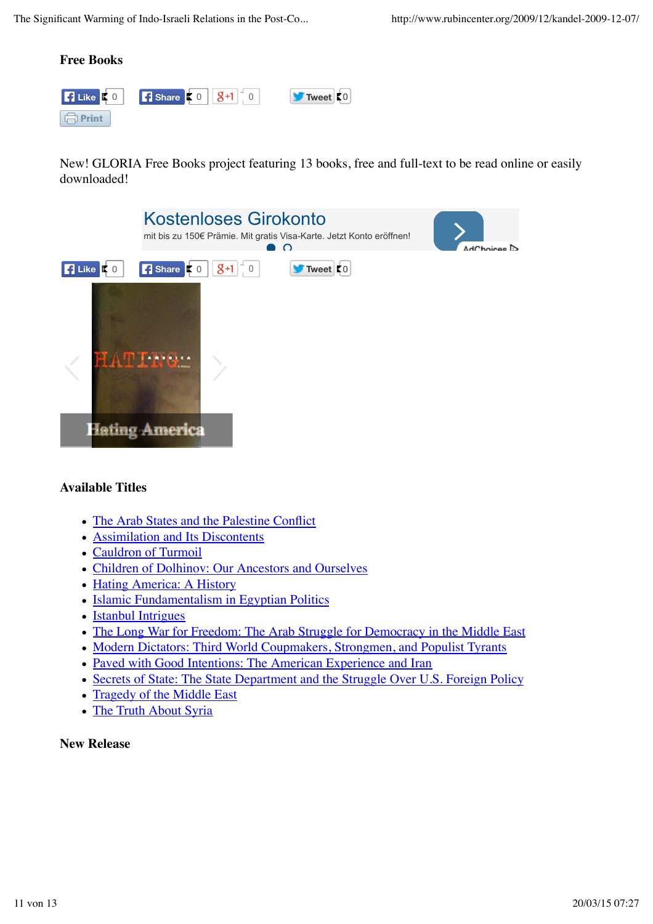

New! GLORIA Free Books project featuring 13 books, free and full-text to be read online or easily downloaded!



## **Available Titles**

- The Arab States and the Palestine Conflict
- Assimilation and Its Discontents
- Cauldron of Turmoil
- Children of Dolhinov: Our Ancestors and Ourselves
- Hating America: A History
- Islamic Fundamentalism in Egyptian Politics
- Istanbul Intrigues
- The Long War for Freedom: The Arab Struggle for Democracy in the Middle East
- Modern Dictators: Third World Coupmakers, Strongmen, and Populist Tyrants
- Paved with Good Intentions: The American Experience and Iran
- Secrets of State: The State Department and the Struggle Over U.S. Foreign Policy
- Tragedy of the Middle East
- The Truth About Syria

## **New Release**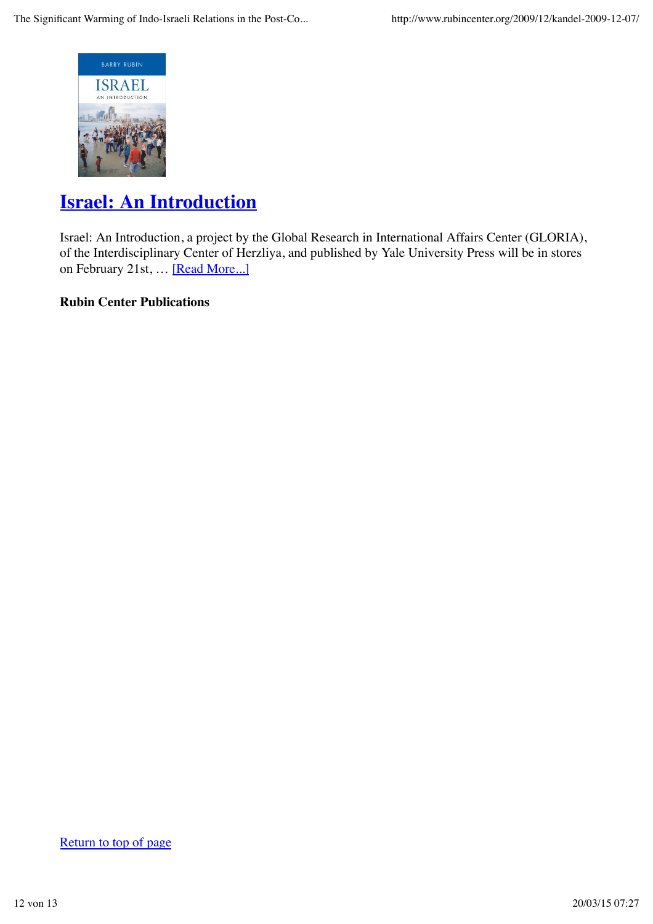

## **Israel: An Introduction**

Israel: An Introduction, a project by the Global Research in International Affairs Center (GLORIA), of the Interdisciplinary Center of Herzliya, and published by Yale University Press will be in stores on February 21st, … [Read More...]

## **Rubin Center Publications**

Return to top of page